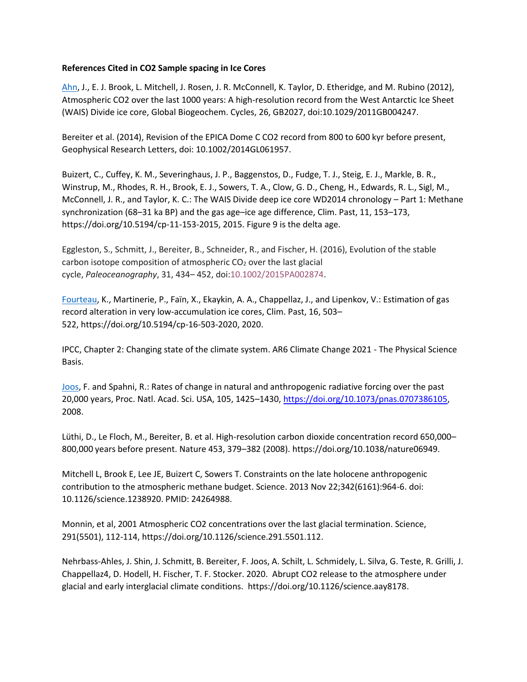## **References Cited in CO2 Sample spacing in Ice Cores**

[Ahn,](https://eprints.keele.ac.uk/4841/1/2012_Ahn_Atmospheric_CO2_over_the_last_1000_years_high_resolution_record_from_WAIS.pdf) J., E. J. Brook, L. Mitchell, J. Rosen, J. R. McConnell, K. Taylor, D. Etheridge, and M. Rubino (2012), Atmospheric CO2 over the last 1000 years: A high-resolution record from the West Antarctic Ice Sheet (WAIS) Divide ice core, Global Biogeochem. Cycles, 26, GB2027, doi:10.1029/2011GB004247.

Bereiter et al. (2014), Revision of the EPICA Dome C CO2 record from 800 to 600 kyr before present, Geophysical Research Letters, doi: 10.1002/2014GL061957.

Buizert, C., Cuffey, K. M., Severinghaus, J. P., Baggenstos, D., Fudge, T. J., Steig, E. J., Markle, B. R., Winstrup, M., Rhodes, R. H., Brook, E. J., Sowers, T. A., Clow, G. D., Cheng, H., Edwards, R. L., Sigl, M., McConnell, J. R., and Taylor, K. C.: The WAIS Divide deep ice core WD2014 chronology – Part 1: Methane synchronization (68–31 ka BP) and the gas age–ice age difference, Clim. Past, 11, 153–173, https://doi.org/10.5194/cp-11-153-2015, 2015. Figure 9 is the delta age.

Eggleston, S., Schmitt, J., Bereiter, B., Schneider, R., and Fischer, H. (2016), Evolution of the stable carbon isotope composition of atmospheric  $CO<sub>2</sub>$  over the last glacial cycle, *Paleoceanography*, 31, 434– 452, doi[:10.1002/2015PA002874.](https://doi.org/10.1002/2015PA002874)

[Fourteau,](https://doi.org/10.5194/cp-16-503-2020) K., Martinerie, P., Faïn, X., Ekaykin, A. A., Chappellaz, J., and Lipenkov, V.: Estimation of gas record alteration in very low-accumulation ice cores, Clim. Past, 16, 503– 522, https://doi.org/10.5194/cp-16-503-2020, 2020.

IPCC, Chapter 2: Changing state of the climate system. AR6 Climate Change 2021 - The Physical Science Basis.

[Joos,](https://doi.org/10.1073/pnas.0707386105) F. and Spahni, R.: Rates of change in natural and anthropogenic radiative forcing over the past 20,000 years, Proc. Natl. Acad. Sci. USA, 105, 1425–1430, [https://doi.org/10.1073/pnas.0707386105,](https://doi.org/10.1073/pnas.0707386105) 2008.

Lüthi, D., Le Floch, M., Bereiter, B. et al. High-resolution carbon dioxide concentration record 650,000– 800,000 years before present. Nature 453, 379–382 (2008). https://doi.org/10.1038/nature06949.

Mitchell L, Brook E, Lee JE, Buizert C, Sowers T. Constraints on the late holocene anthropogenic contribution to the atmospheric methane budget. Science. 2013 Nov 22;342(6161):964-6. doi: 10.1126/science.1238920. PMID: 24264988.

Monnin, et al, 2001 Atmospheric CO2 concentrations over the last glacial termination. Science, 291(5501), 112-114, https://doi.org/10.1126/science.291.5501.112.

Nehrbass-Ahles, J. Shin, J. Schmitt, B. Bereiter, F. Joos, A. Schilt, L. Schmidely, L. Silva, G. Teste, R. Grilli, J. Chappellaz4, D. Hodell, H. Fischer, T. F. Stocker. 2020. Abrupt CO2 release to the atmosphere under glacial and early interglacial climate conditions. https://doi.org/10.1126/science.aay8178.